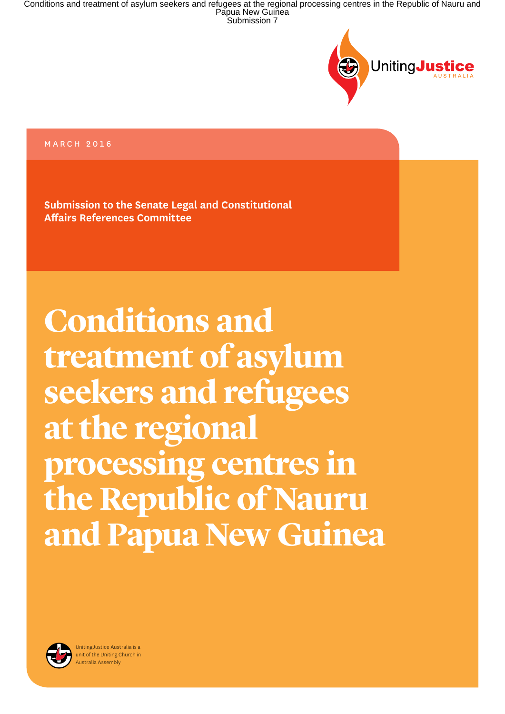

### MARCH 2016

**Submission to the Senate Legal and Constitutional Affairs References Committee** 

**Conditions and treatment of asylum seekers and refugees at the regional processing centres in the Republic of Nauru and Papua New Guinea**

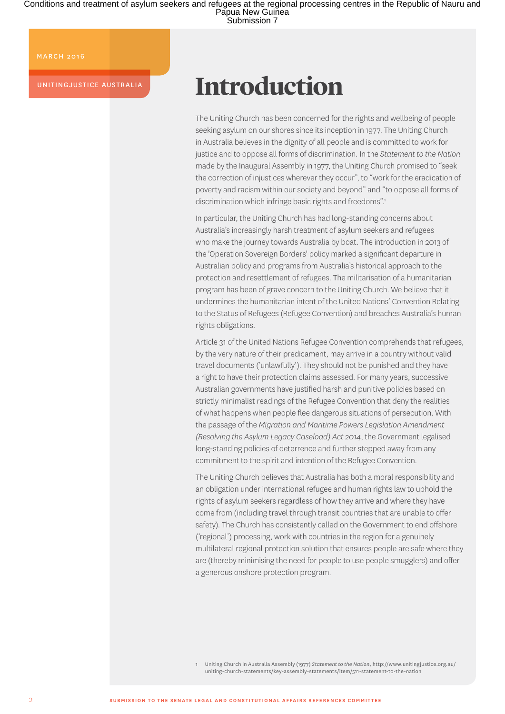MARCH 2016

UNITINGJUSTICE AUSTRALIA

## **Introduction**

The Uniting Church has been concerned for the rights and wellbeing of people seeking asylum on our shores since its inception in 1977. The Uniting Church in Australia believes in the dignity of all people and is committed to work for justice and to oppose all forms of discrimination. In the *Statement to the Nation*  made by the Inaugural Assembly in 1977, the Uniting Church promised to "seek the correction of injustices wherever they occur", to "work for the eradication of poverty and racism within our society and beyond" and "to oppose all forms of discrimination which infringe basic rights and freedoms".<sup>1</sup>

In particular, the Uniting Church has had long-standing concerns about Australia's increasingly harsh treatment of asylum seekers and refugees who make the journey towards Australia by boat. The introduction in 2013 of the 'Operation Sovereign Borders' policy marked a significant departure in Australian policy and programs from Australia's historical approach to the protection and resettlement of refugees. The militarisation of a humanitarian program has been of grave concern to the Uniting Church. We believe that it undermines the humanitarian intent of the United Nations' Convention Relating to the Status of Refugees (Refugee Convention) and breaches Australia's human rights obligations.

Article 31 of the United Nations Refugee Convention comprehends that refugees, by the very nature of their predicament, may arrive in a country without valid travel documents ('unlawfully'). They should not be punished and they have a right to have their protection claims assessed. For many years, successive Australian governments have justified harsh and punitive policies based on strictly minimalist readings of the Refugee Convention that deny the realities of what happens when people flee dangerous situations of persecution. With the passage of the *Migration and Maritime Powers Legislation Amendment (Resolving the Asylum Legacy Caseload) Act 2014*, the Government legalised long-standing policies of deterrence and further stepped away from any commitment to the spirit and intention of the Refugee Convention.

The Uniting Church believes that Australia has both a moral responsibility and an obligation under international refugee and human rights law to uphold the rights of asylum seekers regardless of how they arrive and where they have come from (including travel through transit countries that are unable to offer safety). The Church has consistently called on the Government to end offshore ('regional') processing, work with countries in the region for a genuinely multilateral regional protection solution that ensures people are safe where they are (thereby minimising the need for people to use people smugglers) and offer a generous onshore protection program.

1 Uniting Church in Australia Assembly (1977) *Statement to the Nation*, [http://www.unitingjustice.org.au/](http://www.unitingjustice.org.au/uniting-church-statements/key-assembly-statements/item/511) [uniting-church-statements/key-assembly-statements/item/511](http://www.unitingjustice.org.au/uniting-church-statements/key-assembly-statements/item/511)-statement-to-the-nation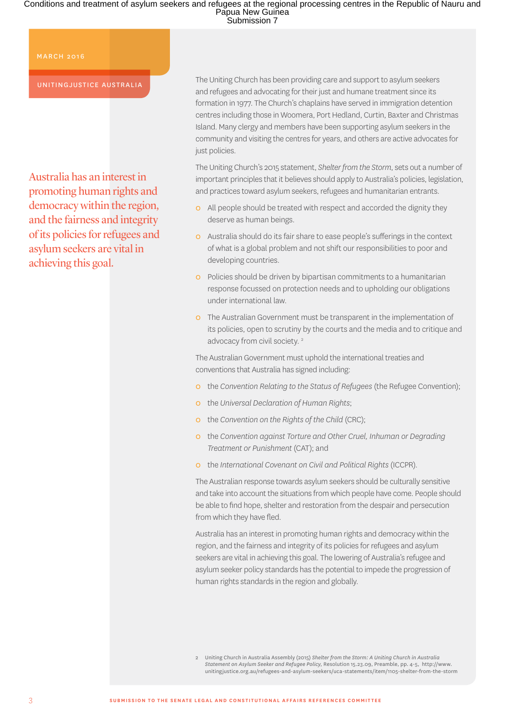#### MARCH 2016

#### UNITINGJUSTICE AUSTRALIA

Australia has an interest in promoting human rights and democracy within the region, and the fairness and integrity of its policies for refugees and asylum seekers are vital in achieving this goal.

The Uniting Church has been providing care and support to asylum seekers and refugees and advocating for their just and humane treatment since its formation in 1977. The Church's chaplains have served in immigration detention centres including those in Woomera, Port Hedland, Curtin, Baxter and Christmas Island. Many clergy and members have been supporting asylum seekers in the community and visiting the centres for years, and others are active advocates for just policies.

The Uniting Church's 2015 statement, *Shelter from the Storm*, sets out a number of important principles that it believes should apply to Australia's policies, legislation, and practices toward asylum seekers, refugees and humanitarian entrants.

- **o** All people should be treated with respect and accorded the dignity they deserve as human beings.
- Ș Australia should do its fair share to ease people's sufferings in the context of what is a global problem and not shift our responsibilities to poor and developing countries.
- o Policies should be driven by bipartisan commitments to a humanitarian response focussed on protection needs and to upholding our obligations under international law.
- **o** The Australian Government must be transparent in the implementation of its policies, open to scrutiny by the courts and the media and to critique and advocacy from civil society.<sup>2</sup>

The Australian Government must uphold the international treaties and conventions that Australia has signed including:

- Ș the *Convention Relating to the Status of Refugees* (the Refugee Convention);
- Ș the *Universal Declaration of Human Rights*;
- o the *Convention on the Rights of the Child* (CRC);
- Ș the *Convention against Torture and Other Cruel, Inhuman or Degrading Treatment or Punishment* (CAT); and
- Ș the *International Covenant on Civil and Political Rights* (ICCPR).

The Australian response towards asylum seekers should be culturally sensitive and take into account the situations from which people have come. People should be able to find hope, shelter and restoration from the despair and persecution from which they have fled.

Australia has an interest in promoting human rights and democracy within the region, and the fairness and integrity of its policies for refugees and asylum seekers are vital in achieving this goal. The lowering of Australia's refugee and asylum seeker policy standards has the potential to impede the progression of human rights standards in the region and globally.

2 Uniting Church in Australia Assembly (2015) *Shelter from the Storm: A Uniting Church in Australia Statement on Asylum Seeker and Refugee Policy,* Resolution 15.23.09, Preamble, pp. 4-5, [http://www.](http://www.unitingjustice.org.au/refugees-and-asylum-seekers/uca-statements/item/1105-shelter-from-the-storm) [unitingjustice.org.au/refugees-and-asylum-seekers/uca-statements/item/1105-shelter-from-the-storm](http://www.unitingjustice.org.au/refugees-and-asylum-seekers/uca-statements/item/1105-shelter-from-the-storm)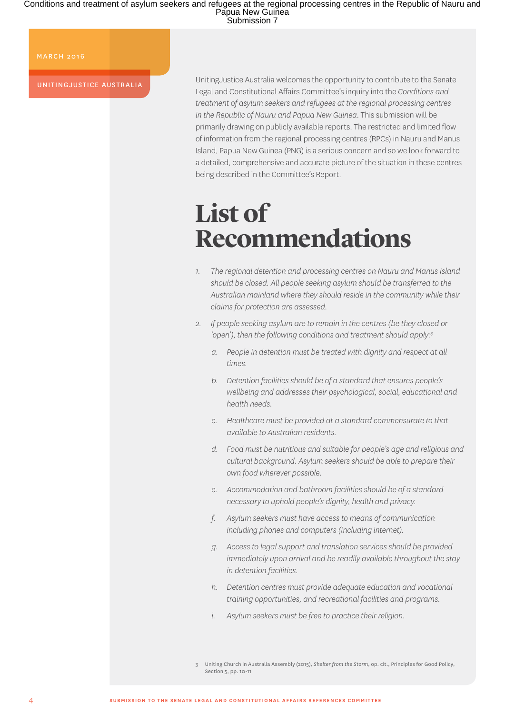MARCH 2016

UNITINGJUSTICE AUSTRALIA

UnitingJustice Australia welcomes the opportunity to contribute to the Senate Legal and Constitutional Affairs Committee's inquiry into the *Conditions and treatment of asylum seekers and refugees at the regional processing centres in the Republic of Nauru and Papua New Guinea*. This submission will be primarily drawing on publicly available reports. The restricted and limited flow of information from the regional processing centres (RPCs) in Nauru and Manus Island, Papua New Guinea (PNG) is a serious concern and so we look forward to a detailed, comprehensive and accurate picture of the situation in these centres being described in the Committee's Report.

### **List of Recommendations**

- *1. The regional detention and processing centres on Nauru and Manus Island should be closed. All people seeking asylum should be transferred to the Australian mainland where they should reside in the community while their claims for protection are assessed.*
- *2. If people seeking asylum are to remain in the centres (be they closed or 'open'), then the following conditions and treatment should apply:3*
	- *a. People in detention must be treated with dignity and respect at all times.*
	- *b. Detention facilities should be of a standard that ensures people's wellbeing and addresses their psychological, social, educational and health needs.*
	- *c. Healthcare must be provided at a standard commensurate to that available to Australian residents.*
	- *d. Food must be nutritious and suitable for people's age and religious and cultural background. Asylum seekers should be able to prepare their own food wherever possible.*
	- *e. Accommodation and bathroom facilities should be of a standard necessary to uphold people's dignity, health and privacy.*
	- *f. Asylum seekers must have access to means of communication including phones and computers (including internet).*
	- *g. Access to legal support and translation services should be provided immediately upon arrival and be readily available throughout the stay in detention facilities.*
	- *h. Detention centres must provide adequate education and vocational training opportunities, and recreational facilities and programs.*
	- *i. Asylum seekers must be free to practice their religion.*

<sup>3</sup> Uniting Church in Australia Assembly (2015), *Shelter from the Storm*, op. cit., Principles for Good Policy, Section 5, pp. 10-11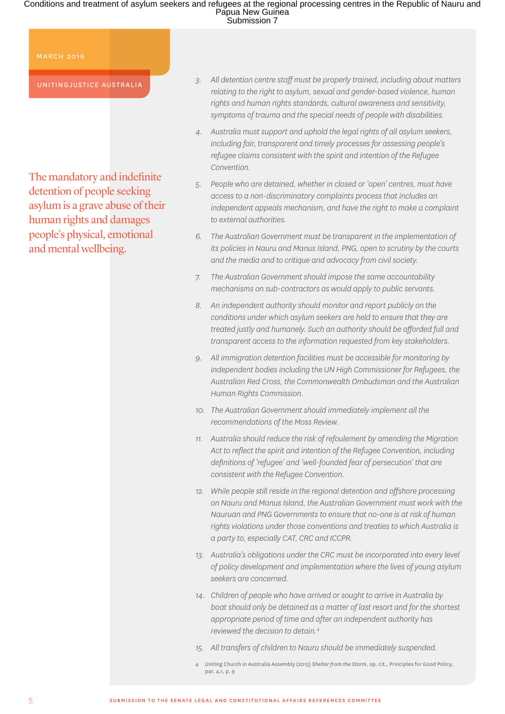#### MARCH 2016

UNITINGJUSTICE AUSTRALIA

The mandatory and indefinite detention of people seeking asylum is a grave abuse of their human rights and damages people's physical, emotional and mental wellbeing.

- *3. All detention centre staff must be properly trained, including about matters relating to the right to asylum, sexual and gender-based violence, human rights and human rights standards, cultural awareness and sensitivity, symptoms of trauma and the special needs of people with disabilities.*
- *4. Australia must support and uphold the legal rights of all asylum seekers, including fair, transparent and timely processes for assessing people's refugee claims consistent with the spirit and intention of the Refugee Convention.*
- *5. People who are detained, whether in closed or 'open' centres, must have access to a non-discriminatory complaints process that includes an independent appeals mechanism, and have the right to make a complaint to external authorities.*
- *6. The Australian Government must be transparent in the implementation of its policies in Nauru and Manus Island, PNG, open to scrutiny by the courts and the media and to critique and advocacy from civil society.*
- *7. The Australian Government should impose the same accountability mechanisms on sub-contractors as would apply to public servants.*
- *8. An independent authority should monitor and report publicly on the conditions under which asylum seekers are held to ensure that they are treated justly and humanely. Such an authority should be afforded full and transparent access to the information requested from key stakeholders.*
- *9. All immigration detention facilities must be accessible for monitoring by independent bodies including the UN High Commissioner for Refugees, the Australian Red Cross, the Commonwealth Ombudsman and the Australian Human Rights Commission.*
- *10. The Australian Government should immediately implement all the recommendations of the Moss Review.*
- *11. Australia should reduce the risk of refoulement by amending the Migration Act to reflect the spirit and intention of the Refugee Convention, including definitions of 'refugee' and 'well-founded fear of persecution' that are consistent with the Refugee Convention.*
- *12. While people still reside in the regional detention and offshore processing on Nauru and Manus Island, the Australian Government must work with the Nauruan and PNG Governments to ensure that no-one is at risk of human rights violations under those conventions and treaties to which Australia is a party to, especially CAT, CRC and ICCPR.*
- *13. Australia's obligations under the CRC must be incorporated into every level of policy development and implementation where the lives of young asylum seekers are concerned.*
- *14. Children of people who have arrived or sought to arrive in Australia by boat should only be detained as a matter of last resort and for the shortest appropriate period of time and after an independent authority has reviewed the decision to detain.4*
- *15. All transfers of children to Nauru should be immediately suspended.*
- 4 Uniting Church in Australia Assembly (2015) *Shelter from the Storm*, op. cit., Principles for Good Policy, par. 4.1, p. 9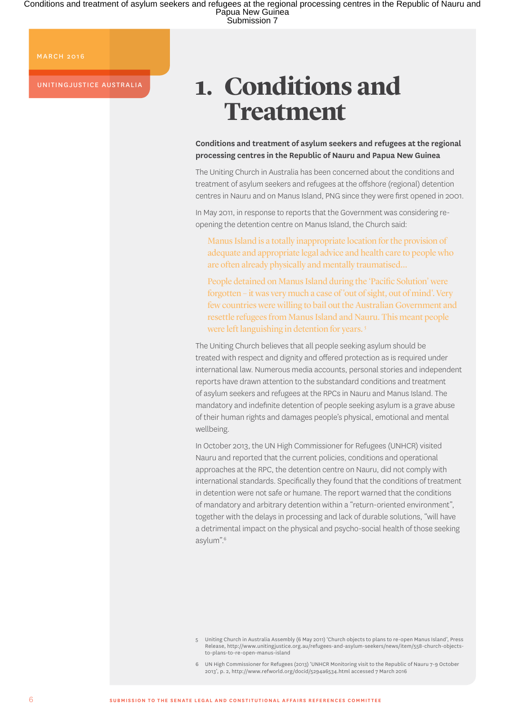MARCH 2016

UNITINGJUSTICE AUSTRALIA

# **1. Conditions and Treatment**

**Conditions and treatment of asylum seekers and refugees at the regional processing centres in the Republic of Nauru and Papua New Guinea**

The Uniting Church in Australia has been concerned about the conditions and treatment of asylum seekers and refugees at the offshore (regional) detention centres in Nauru and on Manus Island, PNG since they were first opened in 2001.

In May 2011, in response to reports that the Government was considering reopening the detention centre on Manus Island, the Church said:

Manus Island is a totally inappropriate location for the provision of adequate and appropriate legal advice and health care to people who are often already physically and mentally traumatised…

People detained on Manus Island during the 'Pacific Solution' were forgotten – it was very much a case of 'out of sight, out of mind'. Very few countries were willing to bail out the Australian Government and resettle refugees from Manus Island and Nauru. This meant people were left languishing in detention for years.<sup>5</sup>

The Uniting Church believes that all people seeking asylum should be treated with respect and dignity and offered protection as is required under international law. Numerous media accounts, personal stories and independent reports have drawn attention to the substandard conditions and treatment of asylum seekers and refugees at the RPCs in Nauru and Manus Island. The mandatory and indefinite detention of people seeking asylum is a grave abuse of their human rights and damages people's physical, emotional and mental wellbeing.

In October 2013, the UN High Commissioner for Refugees (UNHCR) visited Nauru and reported that the current policies, conditions and operational approaches at the RPC, the detention centre on Nauru, did not comply with international standards. Specifically they found that the conditions of treatment in detention were not safe or humane. The report warned that the conditions of mandatory and arbitrary detention within a "return-oriented environment", together with the delays in processing and lack of durable solutions, "will have a detrimental impact on the physical and psycho-social health of those seeking asylum".6

<sup>5</sup> Uniting Church in Australia Assembly (6 May 2011) 'Church objects to plans to re-open Manus Island', Press Release, [http://www.unitingjustice.org.au/refugees-and-asylum-seekers/news/item/558-church-objects](http://www.unitingjustice.org.au/refugees-and-asylum-seekers/news/item/558-church-objects-to-plans-to-re-open-manus-island)[to-plans-to-re-open-manus-island](http://www.unitingjustice.org.au/refugees-and-asylum-seekers/news/item/558-church-objects-to-plans-to-re-open-manus-island)

<sup>6</sup> UN High Commissioner for Refugees (2013) 'UNHCR Monitoring visit to the Republic of Nauru 7-9 October 2013', p. 2, [http://www.refworld.org/docid/5294a6534.html](http://www.refworld.org/docid/5294a6534.html ) accessed 7 March 2016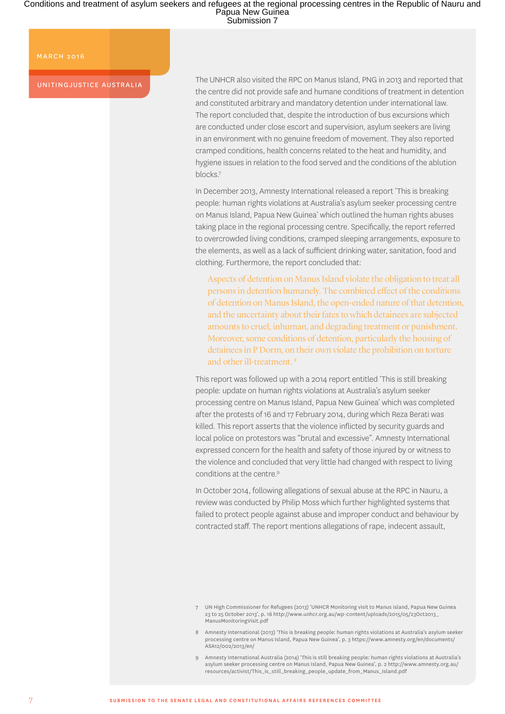#### MARCH 2016

UNITINGJUSTICE AUSTRALIA

The UNHCR also visited the RPC on Manus Island, PNG in 2013 and reported that the centre did not provide safe and humane conditions of treatment in detention and constituted arbitrary and mandatory detention under international law. The report concluded that, despite the introduction of bus excursions which are conducted under close escort and supervision, asylum seekers are living in an environment with no genuine freedom of movement. They also reported cramped conditions, health concerns related to the heat and humidity, and hygiene issues in relation to the food served and the conditions of the ablution blocks.7

In December 2013, Amnesty International released a report 'This is breaking people: human rights violations at Australia's asylum seeker processing centre on Manus Island, Papua New Guinea' which outlined the human rights abuses taking place in the regional processing centre. Specifically, the report referred to overcrowded living conditions, cramped sleeping arrangements, exposure to the elements, as well as a lack of sufficient drinking water, sanitation, food and clothing. Furthermore, the report concluded that:

Aspects of detention on Manus Island violate the obligation to treat all persons in detention humanely. The combined effect of the conditions of detention on Manus Island, the open-ended nature of that detention, and the uncertainty about their fates to which detainees are subjected amounts to cruel, inhuman, and degrading treatment or punishment. Moreover, some conditions of detention, particularly the housing of detainees in P Dorm, on their own violate the prohibition on torture and other ill-treatment. 8

This report was followed up with a 2014 report entitled 'This is still breaking people: update on human rights violations at Australia's asylum seeker processing centre on Manus Island, Papua New Guinea' which was completed after the protests of 16 and 17 February 2014, during which Reza Berati was killed. This report asserts that the violence inflicted by security guards and local police on protestors was "brutal and excessive". Amnesty International expressed concern for the health and safety of those injured by or witness to the violence and concluded that very little had changed with respect to living conditions at the centre.<sup>9</sup>

In October 2014, following allegations of sexual abuse at the RPC in Nauru, a review was conducted by Philip Moss which further highlighted systems that failed to protect people against abuse and improper conduct and behaviour by contracted staff. The report mentions allegations of rape, indecent assault,

<sup>7</sup> UN High Commissioner for Refugees (2013) 'UNHCR Monitoring visit to Manus island, Papua New Guinea 23 to 25 October 2013', p. 16 [http://www.unhcr.org.au/wp-content/uploads/2015/05/23Oct2013\\_](http://www.unhcr.org.au/wp-content/uploads/2015/05/23Oct2013_ManusMonitoringVisit.pdf) [ManusMonitoringVisit.pdf](http://www.unhcr.org.au/wp-content/uploads/2015/05/23Oct2013_ManusMonitoringVisit.pdf)

<sup>8</sup> Amnesty International (2013) 'This is breaking people: human rights violations at Australia's asylum seeker processing centre on Manus Island, Papua New Guinea', p. 3 [https://www.amnesty.org/en/documents/](https://www.amnesty.org/en/documents/ASA12/002/2013/en/) [ASA12/002/2013/en/](https://www.amnesty.org/en/documents/ASA12/002/2013/en/)

<sup>9</sup> Amnesty International Australia (2014) 'This is still breaking people: human rights violations at Australia's asylum seeker processing centre on Manus Island, Papua New Guinea', p. 2 [http://www.amnesty.org.au/](http://www.amnesty.org.au/resources/activist/This_is_still_breaking_people_update_from_Manus_Island.pdf) [resources/activist/This\\_is\\_still\\_breaking\\_people\\_update\\_from\\_Manus\\_Island.pdf](http://www.amnesty.org.au/resources/activist/This_is_still_breaking_people_update_from_Manus_Island.pdf)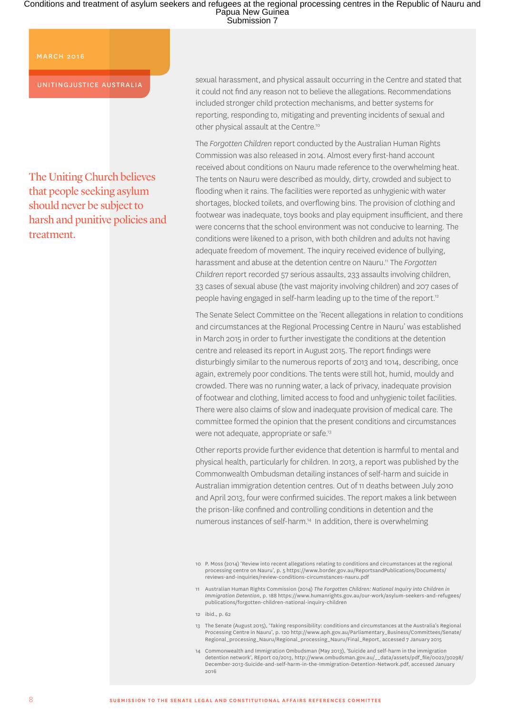MARCH 2016

UNITINGJUSTICE AUSTRALIA

The Uniting Church believes that people seeking asylum should never be subject to harsh and punitive policies and treatment.

sexual harassment, and physical assault occurring in the Centre and stated that it could not find any reason not to believe the allegations. Recommendations included stronger child protection mechanisms, and better systems for reporting, responding to, mitigating and preventing incidents of sexual and other physical assault at the Centre.10

The *Forgotten Children* report conducted by the Australian Human Rights Commission was also released in 2014. Almost every first-hand account received about conditions on Nauru made reference to the overwhelming heat. The tents on Nauru were described as mouldy, dirty, crowded and subject to flooding when it rains. The facilities were reported as unhygienic with water shortages, blocked toilets, and overflowing bins. The provision of clothing and footwear was inadequate, toys books and play equipment insufficient, and there were concerns that the school environment was not conducive to learning. The conditions were likened to a prison, with both children and adults not having adequate freedom of movement. The inquiry received evidence of bullying, harassment and abuse at the detention centre on Nauru.11 The *Forgotten Children* report recorded 57 serious assaults, 233 assaults involving children, 33 cases of sexual abuse (the vast majority involving children) and 207 cases of people having engaged in self-harm leading up to the time of the report.<sup>12</sup>

The Senate Select Committee on the 'Recent allegations in relation to conditions and circumstances at the Regional Processing Centre in Nauru' was established in March 2015 in order to further investigate the conditions at the detention centre and released its report in August 2015. The report findings were disturbingly similar to the numerous reports of 2013 and 1014, describing, once again, extremely poor conditions. The tents were still hot, humid, mouldy and crowded. There was no running water, a lack of privacy, inadequate provision of footwear and clothing, limited access to food and unhygienic toilet facilities. There were also claims of slow and inadequate provision of medical care. The committee formed the opinion that the present conditions and circumstances were not adequate, appropriate or safe.<sup>13</sup>

Other reports provide further evidence that detention is harmful to mental and physical health, particularly for children. In 2013, a report was published by the Commonwealth Ombudsman detailing instances of self-harm and suicide in Australian immigration detention centres. Out of 11 deaths between July 2010 and April 2013, four were confirmed suicides. The report makes a link between the prison-like confined and controlling conditions in detention and the numerous instances of self-harm.14 In addition, there is overwhelming

- 11 Australian Human Rights Commission (2014) *The Forgotten Children: National Inquiry into Children in Immigration Detention*, p. 188 [https://www.humanrights.gov.au/our-work/asylum-seekers-and-refugees/](https://www.humanrights.gov.au/our-work/asylum-seekers-and-refugees/publications/forgotten-children-national-inquiry-children) [publications/forgotten-children-national-inquiry-children](https://www.humanrights.gov.au/our-work/asylum-seekers-and-refugees/publications/forgotten-children-national-inquiry-children)
- 12 ibid., p. 62
- 13 The Senate (August 2015), 'Taking responsibility: conditions and circumstances at the Australia's Regional Processing Centre in Nauru', p. 120 [http://www.aph.gov.au/Parliamentary\\_Business/Committees/Senate/](http://www.aph.gov.au/Parliamentary_Business/Committees/Senate/Regional_processing_Nauru/Regional_processing_Nauru/Final_Report) [Regional\\_processing\\_Nauru/Regional\\_processing\\_Nauru/Final\\_Report](http://www.aph.gov.au/Parliamentary_Business/Committees/Senate/Regional_processing_Nauru/Regional_processing_Nauru/Final_Report), accessed 7 January 2015
- 14 Commonwealth and Immigration Ombudsman (May 2013), 'Suicide and self-harm in the immigration detention network', REport 02/2013, [http://www.ombudsman.gov.au/\\_\\_data/assets/pdf\\_file/0022/30298/](http://www.ombudsman.gov.au/__data/assets/pdf_file/0022/30298/December-2013-Suicide-and-self-harm-in-the-Immigration-Detention-Network.pdf) [December-2013-Suicide-and-self-harm-in-the-Immigration-Detention-Network.pdf](http://www.ombudsman.gov.au/__data/assets/pdf_file/0022/30298/December-2013-Suicide-and-self-harm-in-the-Immigration-Detention-Network.pdf), accessed January 2016

<sup>10</sup> P. Moss (2014) 'Review into recent allegations relating to conditions and circumstances at the regional processing centre on Nauru', p. 5 [https://www.border.gov.au/ReportsandPublications/Documents/](https://www.border.gov.au/ReportsandPublications/Documents/reviews-and-inquiries/review-conditions-circumstances-nauru.pdf) [reviews-and-inquiries/review-conditions-circumstances-nauru.pdf](https://www.border.gov.au/ReportsandPublications/Documents/reviews-and-inquiries/review-conditions-circumstances-nauru.pdf)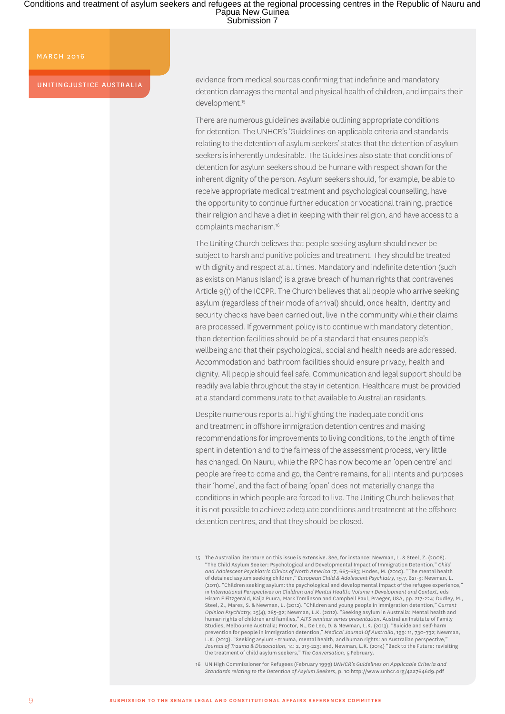#### MARCH 2016

UNITINGJUSTICE AUSTRALIA

evidence from medical sources confirming that indefinite and mandatory detention damages the mental and physical health of children, and impairs their development.<sup>15</sup>

There are numerous guidelines available outlining appropriate conditions for detention. The UNHCR's 'Guidelines on applicable criteria and standards relating to the detention of asylum seekers' states that the detention of asylum seekers is inherently undesirable. The Guidelines also state that conditions of detention for asylum seekers should be humane with respect shown for the inherent dignity of the person. Asylum seekers should, for example, be able to receive appropriate medical treatment and psychological counselling, have the opportunity to continue further education or vocational training, practice their religion and have a diet in keeping with their religion, and have access to a complaints mechanism.16

The Uniting Church believes that people seeking asylum should never be subject to harsh and punitive policies and treatment. They should be treated with dignity and respect at all times. Mandatory and indefinite detention (such as exists on Manus Island) is a grave breach of human rights that contravenes Article 9(1) of the ICCPR. The Church believes that all people who arrive seeking asylum (regardless of their mode of arrival) should, once health, identity and security checks have been carried out, live in the community while their claims are processed. If government policy is to continue with mandatory detention, then detention facilities should be of a standard that ensures people's wellbeing and that their psychological, social and health needs are addressed. Accommodation and bathroom facilities should ensure privacy, health and dignity. All people should feel safe. Communication and legal support should be readily available throughout the stay in detention. Healthcare must be provided at a standard commensurate to that available to Australian residents.

Despite numerous reports all highlighting the inadequate conditions and treatment in offshore immigration detention centres and making recommendations for improvements to living conditions, to the length of time spent in detention and to the fairness of the assessment process, very little has changed. On Nauru, while the RPC has now become an 'open centre' and people are free to come and go, the Centre remains, for all intents and purposes their 'home', and the fact of being 'open' does not materially change the conditions in which people are forced to live. The Uniting Church believes that it is not possible to achieve adequate conditions and treatment at the offshore detention centres, and that they should be closed.

16 UN High Commissioner for Refugees (February 1999) *UNHCR's Guidelines on Applicable Criteria and Standards relating to the Detention of Asylum Seekers*, p. 10 <http://www.unhcr.org/4aa7646d9.pdf>

<sup>15</sup> The Australian literature on this issue is extensive. See, for instance: Newman, L. & Steel, Z. (2008). "The Child Asylum Seeker: Psychological and Developmental Impact of Immigration Detention," *Child and Adolescent Psychiatric Clinics of North America 17*, 665-683; Hodes, M. (2010). "The mental health of detained asylum seeking children," *European Child & Adolescent Psychiatry*, 19.7, 621-3; Newman, L. (2011). "Children seeking asylum: the psychological and developmental impact of the refugee experience," in *International Perspectives on Children and Mental Health: Volume 1 Development and Context*, eds Hiram E Fitzgerald, Kaija Puura, Mark Tomlinson and Campbell Paul, Praeger, USA, pp. 217-224; Dudley, M., Steel, Z., Mares, S. & Newman, L. (2012). "Children and young people in immigration detention," *Current Opinion Psychiatry*, 25(4), 285-92; Newman, L.K. (2012). "Seeking asylum in Australia: Mental health and human rights of children and families," *AIFS seminar series presentation*, Australian Institute of Family Studies, Melbourne Australia; Proctor, N., De Leo, D. & Newman, L.K. (2013). "Suicide and self-harm prevention for people in immigration detention," *Medical Journal Of Australia*, 199: 11, 730-732; Newman, L.K. (2013). "Seeking asylum - trauma, mental health, and human rights: an Australian perspective, *Journal of Trauma & Dissociation*, 14: 2, 213-223; and, Newman, L.K. (2014) "Back to the Future: revisiting the treatment of child asylum seekers," *The Conversation*, 5 February.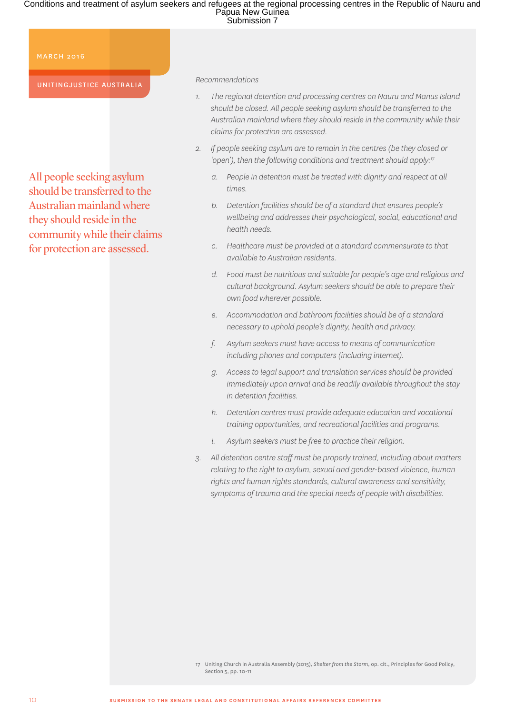MARCH 2016

UNITINGJUSTICE AUSTRALIA

All people seeking asylum should be transferred to the Australian mainland where they should reside in the community while their claims for protection are assessed.

*Recommendations*

- *1. The regional detention and processing centres on Nauru and Manus Island should be closed. All people seeking asylum should be transferred to the Australian mainland where they should reside in the community while their claims for protection are assessed.*
- *2. If people seeking asylum are to remain in the centres (be they closed or 'open'), then the following conditions and treatment should apply:17*
	- *a. People in detention must be treated with dignity and respect at all times.*
	- *b. Detention facilities should be of a standard that ensures people's wellbeing and addresses their psychological, social, educational and health needs.*
	- *c. Healthcare must be provided at a standard commensurate to that available to Australian residents.*
	- *d. Food must be nutritious and suitable for people's age and religious and cultural background. Asylum seekers should be able to prepare their own food wherever possible.*
	- *e. Accommodation and bathroom facilities should be of a standard necessary to uphold people's dignity, health and privacy.*
	- *f. Asylum seekers must have access to means of communication including phones and computers (including internet).*
	- *g. Access to legal support and translation services should be provided immediately upon arrival and be readily available throughout the stay in detention facilities.*
	- *h. Detention centres must provide adequate education and vocational training opportunities, and recreational facilities and programs.*
	- *i. Asylum seekers must be free to practice their religion.*
- *3. All detention centre staff must be properly trained, including about matters relating to the right to asylum, sexual and gender-based violence, human rights and human rights standards, cultural awareness and sensitivity, symptoms of trauma and the special needs of people with disabilities.*

<sup>17</sup> Uniting Church in Australia Assembly (2015), *Shelter from the Storm*, op. cit., Principles for Good Policy, Section 5, pp. 10-11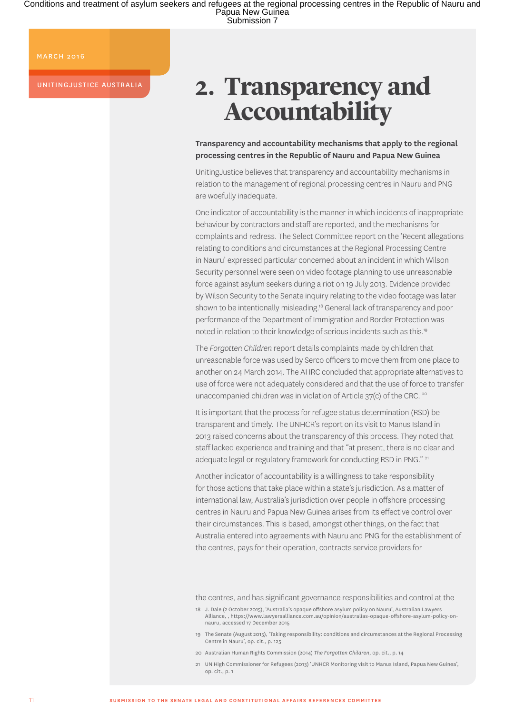MARCH 2016

UNITINGJUSTICE AUSTRALIA

# **2. Transparency and Accountability**

**Transparency and accountability mechanisms that apply to the regional processing centres in the Republic of Nauru and Papua New Guinea**

UnitingJustice believes that transparency and accountability mechanisms in relation to the management of regional processing centres in Nauru and PNG are woefully inadequate.

One indicator of accountability is the manner in which incidents of inappropriate behaviour by contractors and staff are reported, and the mechanisms for complaints and redress. The Select Committee report on the 'Recent allegations relating to conditions and circumstances at the Regional Processing Centre in Nauru' expressed particular concerned about an incident in which Wilson Security personnel were seen on video footage planning to use unreasonable force against asylum seekers during a riot on 19 July 2013. Evidence provided by Wilson Security to the Senate inquiry relating to the video footage was later shown to be intentionally misleading.<sup>18</sup> General lack of transparency and poor performance of the Department of Immigration and Border Protection was noted in relation to their knowledge of serious incidents such as this.19

The *Forgotten Children* report details complaints made by children that unreasonable force was used by Serco officers to move them from one place to another on 24 March 2014. The AHRC concluded that appropriate alternatives to use of force were not adequately considered and that the use of force to transfer unaccompanied children was in violation of Article 37(c) of the CRC. <sup>20</sup>

It is important that the process for refugee status determination (RSD) be transparent and timely. The UNHCR's report on its visit to Manus Island in 2013 raised concerns about the transparency of this process. They noted that staff lacked experience and training and that "at present, there is no clear and adequate legal or regulatory framework for conducting RSD in PNG." <sup>21</sup>

Another indicator of accountability is a willingness to take responsibility for those actions that take place within a state's jurisdiction. As a matter of international law, Australia's jurisdiction over people in offshore processing centres in Nauru and Papua New Guinea arises from its effective control over their circumstances. This is based, amongst other things, on the fact that Australia entered into agreements with Nauru and PNG for the establishment of the centres, pays for their operation, contracts service providers for

the centres, and has significant governance responsibilities and control at the

<sup>18</sup> J. Dale (2 October 2015), 'Australia's opaque offshore asylum policy on Nauru', Australian Lawyers Alliance, , [https://www.lawyersalliance.com.au/opinion/australias-opaque-offshore-asylum-policy-on](https://www.lawyersalliance.com.au/opinion/australias-opaque-offshore-asylum-policy-on-nauru)[nauru,](https://www.lawyersalliance.com.au/opinion/australias-opaque-offshore-asylum-policy-on-nauru) accessed 17 December 2015

<sup>19</sup> The Senate (August 2015), 'Taking responsibility: conditions and circumstances at the Regional Processing Centre in Nauru', op. cit., p. 125

<sup>20</sup> Australian Human Rights Commission (2014) *The Forgotten Children*, op. cit., p. 14

<sup>21</sup> UN High Commissioner for Refugees (2013) 'UNHCR Monitoring visit to Manus Island, Papua New Guinea', op. cit., p. 1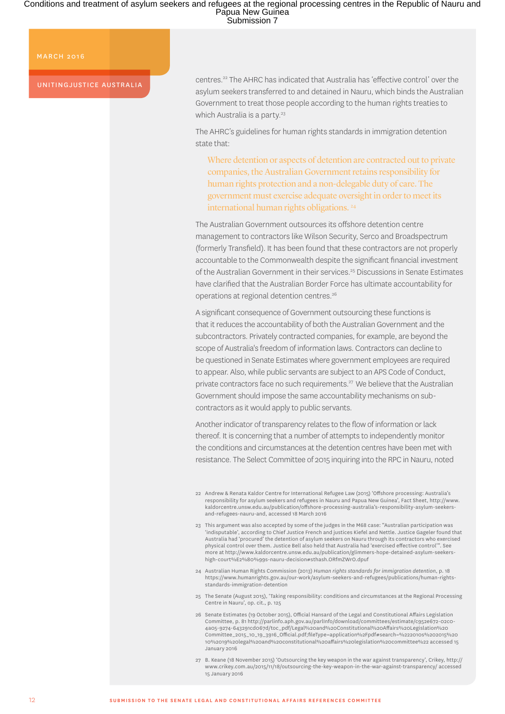#### MARCH 2016

UNITINGJUSTICE AUSTRALIA

centres.22 The AHRC has indicated that Australia has 'effective control' over the asylum seekers transferred to and detained in Nauru, which binds the Australian Government to treat those people according to the human rights treaties to which Australia is a party.<sup>23</sup>

The AHRC's guidelines for human rights standards in immigration detention state that:

Where detention or aspects of detention are contracted out to private companies, the Australian Government retains responsibility for human rights protection and a non-delegable duty of care. The government must exercise adequate oversight in order to meet its international human rights obligations. 24

The Australian Government outsources its offshore detention centre management to contractors like Wilson Security, Serco and Broadspectrum (formerly Transfield). It has been found that these contractors are not properly accountable to the Commonwealth despite the significant financial investment of the Australian Government in their services.25 Discussions in Senate Estimates have clarified that the Australian Border Force has ultimate accountability for operations at regional detention centres.26

A significant consequence of Government outsourcing these functions is that it reduces the accountability of both the Australian Government and the subcontractors. Privately contracted companies, for example, are beyond the scope of Australia's freedom of information laws. Contractors can decline to be questioned in Senate Estimates where government employees are required to appear. Also, while public servants are subject to an APS Code of Conduct, private contractors face no such requirements.27 We believe that the Australian Government should impose the same accountability mechanisms on subcontractors as it would apply to public servants.

Another indicator of transparency relates to the flow of information or lack thereof. It is concerning that a number of attempts to independently monitor the conditions and circumstances at the detention centres have been met with resistance. The Select Committee of 2015 inquiring into the RPC in Nauru, noted

<sup>22</sup> Andrew & Renata Kaldor Centre for International Refugee Law (2015) 'Offshore processing: Australia's responsibility for asylum seekers and refugees in Nauru and Papua New Guinea', Fact Sheet, [http://www.](http://www.kaldorcentre.unsw.edu.au/publication/offshore-processing-australia’s-responsibility-asylum-seekers-and-refugees-nauru-and) [kaldorcentre.unsw.edu.au/publication/offshore-processing-australia's-responsibility-asylum-seekers](http://www.kaldorcentre.unsw.edu.au/publication/offshore-processing-australia’s-responsibility-asylum-seekers-and-refugees-nauru-and)[and-refugees-nauru-and](http://www.kaldorcentre.unsw.edu.au/publication/offshore-processing-australia’s-responsibility-asylum-seekers-and-refugees-nauru-and), accessed 18 March 2016

<sup>23</sup> This argument was also accepted by some of the judges in the M68 case: "Australian participation was 'indisputable', according to Chief Justice French and justices Kiefel and Nettle. Justice Gageler found that Australia had 'procured' the detention of asylum seekers on Nauru through its contractors who exercised physical control over them. Justice Bell also held that Australia had 'exercised effective control'". See more at [http://www.kaldorcentre.unsw.edu.au/publication/glimmers-hope-detained-asylum-seekers](http://www.kaldorcentre.unsw.edu.au/publication/glimmers-hope-detained-asylum-seekers-high-court%E2%80%99s-nauru-decision#sthash.ORfmZWrO.dpuf)[high-court%E2%80%99s-nauru-decision#sthash.ORfmZWrO.dpuf](http://www.kaldorcentre.unsw.edu.au/publication/glimmers-hope-detained-asylum-seekers-high-court%E2%80%99s-nauru-decision#sthash.ORfmZWrO.dpuf)

<sup>24</sup> Australian Human Rights Commission (2013) *Human rights standards for immigration detention*, p. 18 [https://www.humanrights.gov.au/our-work/asylum-seekers-and-refugees/publications/human-rights](https://www.humanrights.gov.au/our-work/asylum-seekers-and-refugees/publications/human-rights-standards-immigration-detention)[standards-immigration-detention](https://www.humanrights.gov.au/our-work/asylum-seekers-and-refugees/publications/human-rights-standards-immigration-detention)

<sup>25</sup> The Senate (August 2015), 'Taking responsibility: conditions and circumstances at the Regional Processing Centre in Nauru', op. cit., p. 125

<sup>26</sup> Senate Estimates (19 October 2015), Official Hansard of the Legal and Constitutional Affairs Legislation Committee, p. 81 [http://parlinfo.aph.gov.au/parlInfo/download/committees/estimate/c952e672-02c0-](http://parlinfo.aph.gov.au/parlInfo/download/committees/estimate/c952e672-02c0-4a05-9274-643291cd067d/toc_pdf/Legal%20and%20Constitutional%20Affairs%20Legislation%20Committee_2015_10_19_3916_Official.pdf;fileType=application%2Fpdf#search=%222010s%202015%2) [4a05-9274-643291cd067d/toc\\_pdf/Legal%20and%20Constitutional%20Affairs%20Legislation%20](http://parlinfo.aph.gov.au/parlInfo/download/committees/estimate/c952e672-02c0-4a05-9274-643291cd067d/toc_pdf/Legal%20and%20Constitutional%20Affairs%20Legislation%20Committee_2015_10_19_3916_Official.pdf;fileType=application%2Fpdf#search=%222010s%202015%2) [Committee\\_2015\\_10\\_19\\_3916\\_Official.pdf;fileType=application%2Fpdf#search=%222010s%202015%20](http://parlinfo.aph.gov.au/parlInfo/download/committees/estimate/c952e672-02c0-4a05-9274-643291cd067d/toc_pdf/Legal%20and%20Constitutional%20Affairs%20Legislation%20Committee_2015_10_19_3916_Official.pdf;fileType=application%2Fpdf#search=%222010s%202015%2) [10%2019%20legal%20and%20constitutional%20affairs%20legislation%20committee%22](http://parlinfo.aph.gov.au/parlInfo/download/committees/estimate/c952e672-02c0-4a05-9274-643291cd067d/toc_pdf/Legal%20and%20Constitutional%20Affairs%20Legislation%20Committee_2015_10_19_3916_Official.pdf;fileType=application%2Fpdf#search=%222010s%202015%2) accessed 15 January 2016

<sup>27</sup> B. Keane (18 November 2015) 'Outsourcing the key weapon in the war against transparency', Crikey, [http://](http://www.crikey.com.au/2015/11/18/outsourcing-the-key-weapon-in-the-war-against-transparency/) [www.crikey.com.au/2015/11/18/outsourcing-the-key-weapon-in-the-war-against-transparency/](http://www.crikey.com.au/2015/11/18/outsourcing-the-key-weapon-in-the-war-against-transparency/) accessed 15 January 2016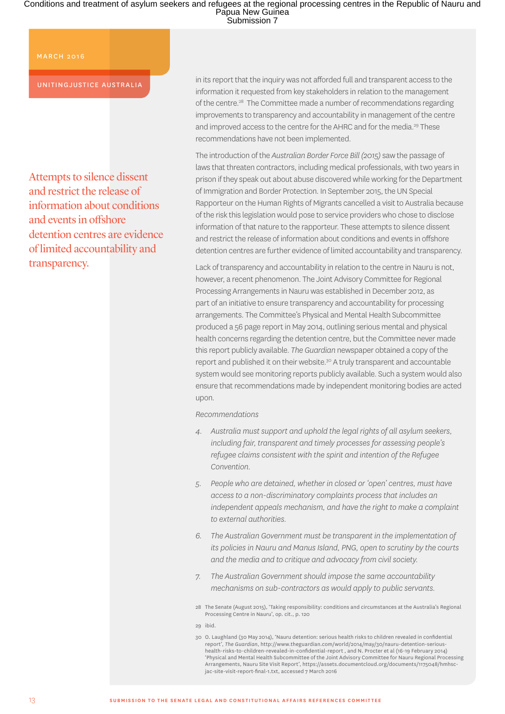#### MARCH 2016

UNITINGJUSTICE AUSTRALIA

Attempts to silence dissent and restrict the release of information about conditions and events in offshore detention centres are evidence of limited accountability and transparency.

in its report that the inquiry was not afforded full and transparent access to the information it requested from key stakeholders in relation to the management of the centre.28 The Committee made a number of recommendations regarding improvements to transparency and accountability in management of the centre and improved access to the centre for the AHRC and for the media.<sup>29</sup> These recommendations have not been implemented.

The introduction of the *Australian Border Force Bill (2015)* saw the passage of laws that threaten contractors, including medical professionals, with two years in prison if they speak out about abuse discovered while working for the Department of Immigration and Border Protection. In September 2015, the UN Special Rapporteur on the Human Rights of Migrants cancelled a visit to Australia because of the risk this legislation would pose to service providers who chose to disclose information of that nature to the rapporteur. These attempts to silence dissent and restrict the release of information about conditions and events in offshore detention centres are further evidence of limited accountability and transparency.

Lack of transparency and accountability in relation to the centre in Nauru is not, however, a recent phenomenon. The Joint Advisory Committee for Regional Processing Arrangements in Nauru was established in December 2012, as part of an initiative to ensure transparency and accountability for processing arrangements. The Committee's Physical and Mental Health Subcommittee produced a 56 page report in May 2014, outlining serious mental and physical health concerns regarding the detention centre, but the Committee never made this report publicly available. *The Guardian* newspaper obtained a copy of the report and published it on their website.<sup>30</sup> A truly transparent and accountable system would see monitoring reports publicly available. Such a system would also ensure that recommendations made by independent monitoring bodies are acted upon.

*Recommendations*

- *4. Australia must support and uphold the legal rights of all asylum seekers, including fair, transparent and timely processes for assessing people's refugee claims consistent with the spirit and intention of the Refugee Convention.*
- *5. People who are detained, whether in closed or 'open' centres, must have access to a non-discriminatory complaints process that includes an independent appeals mechanism, and have the right to make a complaint to external authorities.*
- *6. The Australian Government must be transparent in the implementation of its policies in Nauru and Manus Island, PNG, open to scrutiny by the courts and the media and to critique and advocacy from civil society.*
- *7. The Australian Government should impose the same accountability mechanisms on sub-contractors as would apply to public servants.*
- 28 The Senate (August 2015), 'Taking responsibility: conditions and circumstances at the Australia's Regional Processing Centre in Nauru', op. cit., p. 120

29 ibid.

<sup>30</sup> O. Laughland (30 May 2014), 'Nauru detention: serious health risks to children revealed in confidential report', *The Guardian*, [http://www.theguardian.com/world/2014/may/30/nauru-detention-serious](http://www.theguardian.com/world/2014/may/30/nauru-detention-serious-health-risks-to-children-revealed-in-confidential-report)[health-risks-to-children-revealed-in-confidential-report](http://www.theguardian.com/world/2014/may/30/nauru-detention-serious-health-risks-to-children-revealed-in-confidential-report) , and N. Procter et al (16-19 February 2014) 'Physical and Mental Health Subcommittee of the Joint Advisory Committee for Nauru Regional Processing Arrangements, Nauru Site Visit Report', [https://assets.documentcloud.org/documents/1175048/hmhsc](https://assets.documentcloud.org/documents/1175048/hmhsc-jac-site-visit-report-final-1.txt)[jac-site-visit-report-final-1.txt](https://assets.documentcloud.org/documents/1175048/hmhsc-jac-site-visit-report-final-1.txt), accessed 7 March 2016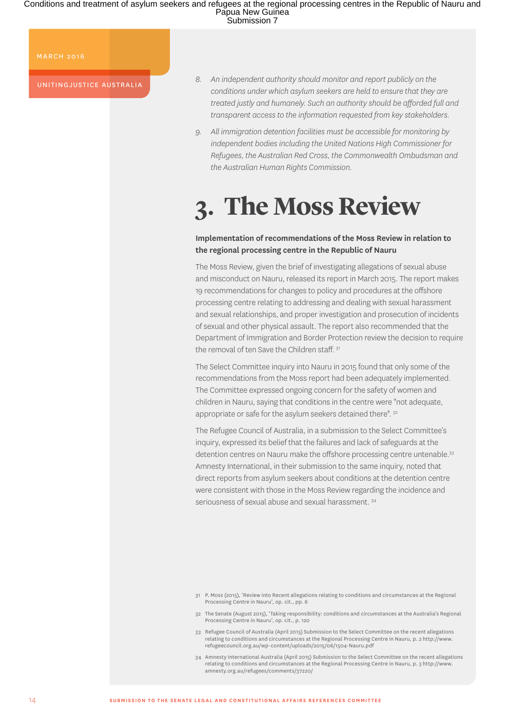#### MARCH 2016

UNITINGJUSTICE AUSTRALIA

- *8. An independent authority should monitor and report publicly on the conditions under which asylum seekers are held to ensure that they are treated justly and humanely. Such an authority should be afforded full and transparent access to the information requested from key stakeholders.*
- *9. All immigration detention facilities must be accessible for monitoring by independent bodies including the United Nations High Commissioner for Refugees, the Australian Red Cross, the Commonwealth Ombudsman and the Australian Human Rights Commission.*

## **3. The Moss Review**

### **Implementation of recommendations of the Moss Review in relation to the regional processing centre in the Republic of Nauru**

The Moss Review, given the brief of investigating allegations of sexual abuse and misconduct on Nauru, released its report in March 2015. The report makes 19 recommendations for changes to policy and procedures at the offshore processing centre relating to addressing and dealing with sexual harassment and sexual relationships, and proper investigation and prosecution of incidents of sexual and other physical assault. The report also recommended that the Department of Immigration and Border Protection review the decision to require the removal of ten Save the Children staff. 31

The Select Committee inquiry into Nauru in 2015 found that only some of the recommendations from the Moss report had been adequately implemented. The Committee expressed ongoing concern for the safety of women and children in Nauru, saying that conditions in the centre were "not adequate, appropriate or safe for the asylum seekers detained there". 32

The Refugee Council of Australia, in a submission to the Select Committee's inquiry, expressed its belief that the failures and lack of safeguards at the detention centres on Nauru make the offshore processing centre untenable.<sup>33</sup> Amnesty International, in their submission to the same inquiry, noted that direct reports from asylum seekers about conditions at the detention centre were consistent with those in the Moss Review regarding the incidence and seriousness of sexual abuse and sexual harassment. 34

- 31 P. Moss (2015), 'Review into Recent allegations relating to conditions and circumstances at the Regional Processing Centre in Nauru', op. cit., pp. 6
- 32 The Senate (August 2015), 'Taking responsibility: conditions and circumstances at the Australia's Regional Processing Centre in Nauru', op. cit., p. 120
- 33 Refugee Council of Australia (April 2015) Submission to the Select Committee on the recent allegations relating to conditions and circumstances at the Regional Processing Centre in Nauru, p. 2 [http://www.](http://www.refugeecouncil.org.au/wp-content/uploads/2015/06/1504-Nauru.pdf) [refugeecouncil.org.au/wp-content/uploads/2015/06/1504-Nauru.pdf](http://www.refugeecouncil.org.au/wp-content/uploads/2015/06/1504-Nauru.pdf)
- 34 Amnesty International Australia (April 2015) Submission to the Select Committee on the recent allegations relating to conditions and circumstances at the Regional Processing Centre in Nauru, p. 3 [http://www.](http://www.amnesty.org.au/refugees/comments/37220/) [amnesty.org.au/refugees/comments/37220/](http://www.amnesty.org.au/refugees/comments/37220/)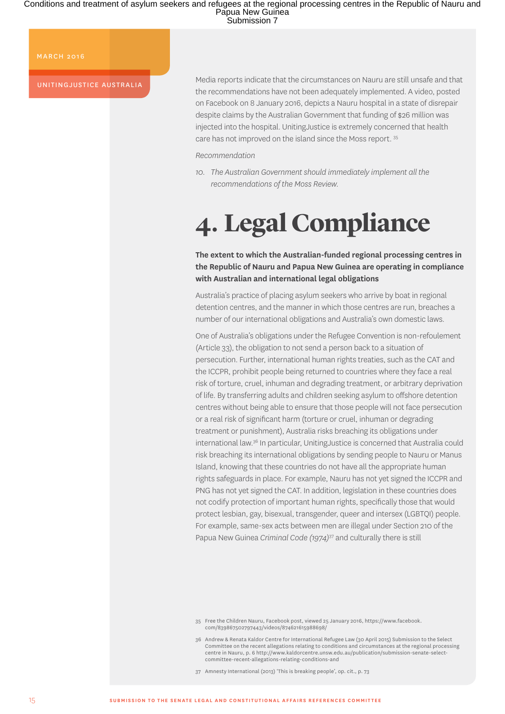#### MARCH 2016

UNITINGJUSTICE AUSTRALIA

Media reports indicate that the circumstances on Nauru are still unsafe and that the recommendations have not been adequately implemented. A video, posted on Facebook on 8 January 2016, depicts a Nauru hospital in a state of disrepair despite claims by the Australian Government that funding of \$26 million was injected into the hospital. UnitingJustice is extremely concerned that health care has not improved on the island since the Moss report. 35

#### *Recommendation*

*10. The Australian Government should immediately implement all the recommendations of the Moss Review.*

## **4. Legal Compliance**

**The extent to which the Australian-funded regional processing centres in the Republic of Nauru and Papua New Guinea are operating in compliance with Australian and international legal obligations**

Australia's practice of placing asylum seekers who arrive by boat in regional detention centres, and the manner in which those centres are run, breaches a number of our international obligations and Australia's own domestic laws.

One of Australia's obligations under the Refugee Convention is non-refoulement (Article 33), the obligation to not send a person back to a situation of persecution. Further, international human rights treaties, such as the CAT and the ICCPR, prohibit people being returned to countries where they face a real risk of torture, cruel, inhuman and degrading treatment, or arbitrary deprivation of life. By transferring adults and children seeking asylum to offshore detention centres without being able to ensure that those people will not face persecution or a real risk of significant harm (torture or cruel, inhuman or degrading treatment or punishment), Australia risks breaching its obligations under international law.36 In particular, UnitingJustice is concerned that Australia could risk breaching its international obligations by sending people to Nauru or Manus Island, knowing that these countries do not have all the appropriate human rights safeguards in place. For example, Nauru has not yet signed the ICCPR and PNG has not yet signed the CAT. In addition, legislation in these countries does not codify protection of important human rights, specifically those that would protect lesbian, gay, bisexual, transgender, queer and intersex (LGBTQI) people. For example, same-sex acts between men are illegal under Section 210 of the Papua New Guinea *Criminal Code (1974)*37 and culturally there is still

37 Amnesty International (2013) 'This is breaking people', op. cit., p. 73

<sup>35</sup> Free the Children Nauru, Facebook post, viewed 25 January 2016, [https://www.facebook.](https://www.facebook.com/839867502797443/videos/874621615988698/) [com/839867502797443/videos/874621615988698/](https://www.facebook.com/839867502797443/videos/874621615988698/)

<sup>36</sup> Andrew & Renata Kaldor Centre for International Refugee Law (30 April 2015) Submission to the Select Committee on the recent allegations relating to conditions and circumstances at the regional processing centre in Nauru, p. 6 [http://www.kaldorcentre.unsw.edu.au/publication/submission-senate-select](http://www.kaldorcentre.unsw.edu.au/publication/submission-senate-select-committee-recent-allegations-relating-conditions-and)[committee-recent-allegations-relating-conditions-and](http://www.kaldorcentre.unsw.edu.au/publication/submission-senate-select-committee-recent-allegations-relating-conditions-and)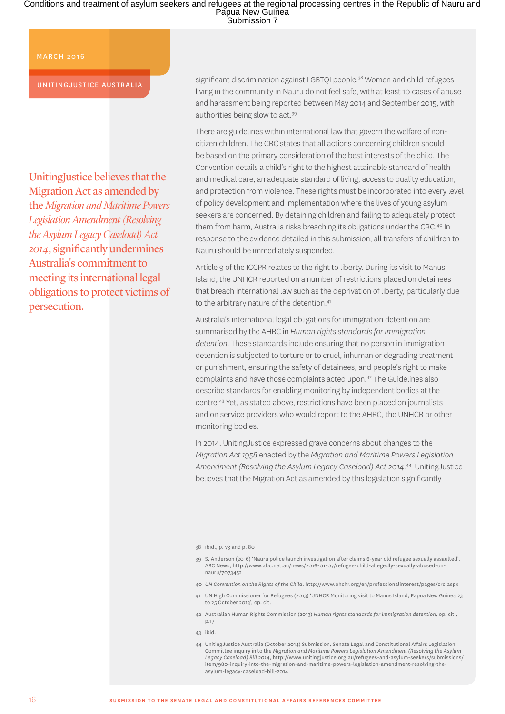#### MARCH 2016

#### UNITINGJUSTICE AUSTRALIA

UnitingJustice believes that the Migration Act as amended by the *Migration and Maritime Powers Legislation Amendment (Resolving the Asylum Legacy Caseload) Act 2014*, significantly undermines Australia's commitment to meeting its international legal obligations to protect victims of persecution.

significant discrimination against LGBTQI people.<sup>38</sup> Women and child refugees living in the community in Nauru do not feel safe, with at least 10 cases of abuse and harassment being reported between May 2014 and September 2015, with authorities being slow to act.39

There are guidelines within international law that govern the welfare of noncitizen children. The CRC states that all actions concerning children should be based on the primary consideration of the best interests of the child. The Convention details a child's right to the highest attainable standard of health and medical care, an adequate standard of living, access to quality education, and protection from violence. These rights must be incorporated into every level of policy development and implementation where the lives of young asylum seekers are concerned. By detaining children and failing to adequately protect them from harm, Australia risks breaching its obligations under the CRC.<sup>40</sup> In response to the evidence detailed in this submission, all transfers of children to Nauru should be immediately suspended.

Article 9 of the ICCPR relates to the right to liberty. During its visit to Manus Island, the UNHCR reported on a number of restrictions placed on detainees that breach international law such as the deprivation of liberty, particularly due to the arbitrary nature of the detention.<sup>41</sup>

Australia's international legal obligations for immigration detention are summarised by the AHRC in *Human rights standards for immigration detention*. These standards include ensuring that no person in immigration detention is subjected to torture or to cruel, inhuman or degrading treatment or punishment, ensuring the safety of detainees, and people's right to make complaints and have those complaints acted upon.42 The Guidelines also describe standards for enabling monitoring by independent bodies at the centre.43 Yet, as stated above, restrictions have been placed on journalists and on service providers who would report to the AHRC, the UNHCR or other monitoring bodies.

In 2014, UnitingJustice expressed grave concerns about changes to the *Migration Act 1958* enacted by the *Migration and Maritime Powers Legislation Amendment (Resolving the Asylum Legacy Caseload) Act 2014*. 44 UnitingJustice believes that the Migration Act as amended by this legislation significantly

38 ibid., p. 73 and p. 80

- 39 S. Anderson (2016) 'Nauru police launch investigation after claims 6-year old refugee sexually assaulted', ABC News, [http://www.abc.net.au/news/2016-01-07/refugee-child-allegedly-sexually-abused-on](http://www.abc.net.au/news/2016-01-07/refugee-child-allegedly-sexually-abused-on-nauru/7073452)[nauru/7073452](http://www.abc.net.au/news/2016-01-07/refugee-child-allegedly-sexually-abused-on-nauru/7073452)
- 40 *UN Convention on the Rights of the Child*,<http://www.ohchr.org/en/professionalinterest/pages/crc.aspx>
- 41 UN High Commissioner for Refugees (2013) 'UNHCR Monitoring visit to Manus Island, Papua New Guinea 23 to 25 October 2013', op. cit.
- 42 Australian Human Rights Commission (2013) *Human rights standards for immigration detention*, op. cit., p.17
- 43 ibid.
- 44 UnitingJustice Australia (October 2014) Submission, Senate Legal and Constitutional Affairs Legislation Committee inquiry in to the *Migration and Maritime Powers Legislation Amendment (Resolving the Asylum Legacy Caseload) Bill 2014*, [http://www.unitingjustice.org.au/refugees-and-asylum-seekers/submissions/](http://www.unitingjustice.org.au/refugees-and-asylum-seekers/submissions/item/980-inquiry-into-the-migration-and-maritime-powers-legislation-amendment-resolving-the-asylum-legacy-caseload-bill-2014) [item/980-inquiry-into-the-migration-and-maritime-powers-legislation-amendment-resolving-the](http://www.unitingjustice.org.au/refugees-and-asylum-seekers/submissions/item/980-inquiry-into-the-migration-and-maritime-powers-legislation-amendment-resolving-the-asylum-legacy-caseload-bill-2014)[asylum-legacy-caseload-bill-2014](http://www.unitingjustice.org.au/refugees-and-asylum-seekers/submissions/item/980-inquiry-into-the-migration-and-maritime-powers-legislation-amendment-resolving-the-asylum-legacy-caseload-bill-2014)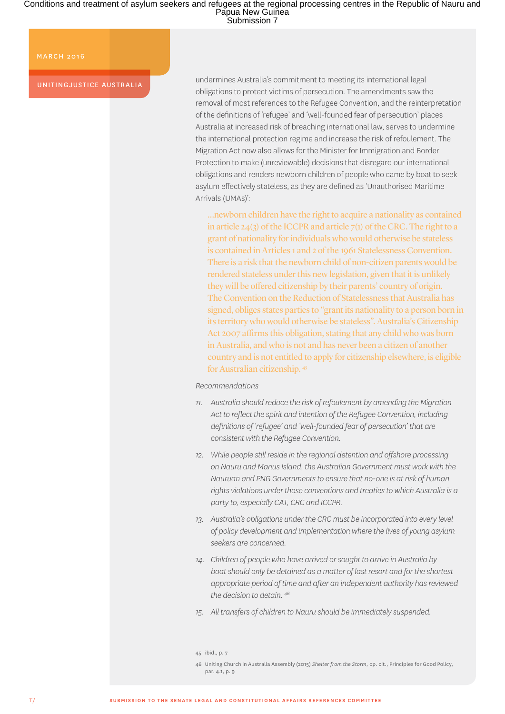#### MARCH 2016

UNITINGJUSTICE AUSTRALIA

undermines Australia's commitment to meeting its international legal obligations to protect victims of persecution. The amendments saw the removal of most references to the Refugee Convention, and the reinterpretation of the definitions of 'refugee' and 'well-founded fear of persecution' places Australia at increased risk of breaching international law, serves to undermine the international protection regime and increase the risk of refoulement. The Migration Act now also allows for the Minister for Immigration and Border Protection to make (unreviewable) decisions that disregard our international obligations and renders newborn children of people who came by boat to seek asylum effectively stateless, as they are defined as 'Unauthorised Maritime Arrivals (UMAs)':

…newborn children have the right to acquire a nationality as contained in article 24(3) of the ICCPR and article  $7(1)$  of the CRC. The right to a grant of nationality for individuals who would otherwise be stateless is contained in Articles 1 and 2 of the 1961 Statelessness Convention. There is a risk that the newborn child of non-citizen parents would be rendered stateless under this new legislation, given that it is unlikely they will be offered citizenship by their parents' country of origin. The Convention on the Reduction of Statelessness that Australia has signed, obliges states parties to "grant its nationality to a person born in its territory who would otherwise be stateless". Australia's Citizenship Act 2007 affirms this obligation, stating that any child who was born in Australia, and who is not and has never been a citizen of another country and is not entitled to apply for citizenship elsewhere, is eligible for Australian citizenship. 45

#### *Recommendations*

- *11. Australia should reduce the risk of refoulement by amending the Migration Act to reflect the spirit and intention of the Refugee Convention, including definitions of 'refugee' and 'well-founded fear of persecution' that are consistent with the Refugee Convention.*
- *12. While people still reside in the regional detention and offshore processing on Nauru and Manus Island, the Australian Government must work with the Nauruan and PNG Governments to ensure that no-one is at risk of human rights violations under those conventions and treaties to which Australia is a party to, especially CAT, CRC and ICCPR.*
- *13. Australia's obligations under the CRC must be incorporated into every level of policy development and implementation where the lives of young asylum seekers are concerned.*
- *14. Children of people who have arrived or sought to arrive in Australia by boat should only be detained as a matter of last resort and for the shortest appropriate period of time and after an independent authority has reviewed the decision to detain. 46*
- *15. All transfers of children to Nauru should be immediately suspended.*

<sup>45</sup> ibid., p. 7

<sup>46</sup> Uniting Church in Australia Assembly (2015) *Shelter from the Storm*, op. cit., Principles for Good Policy, par. 4.1, p. 9